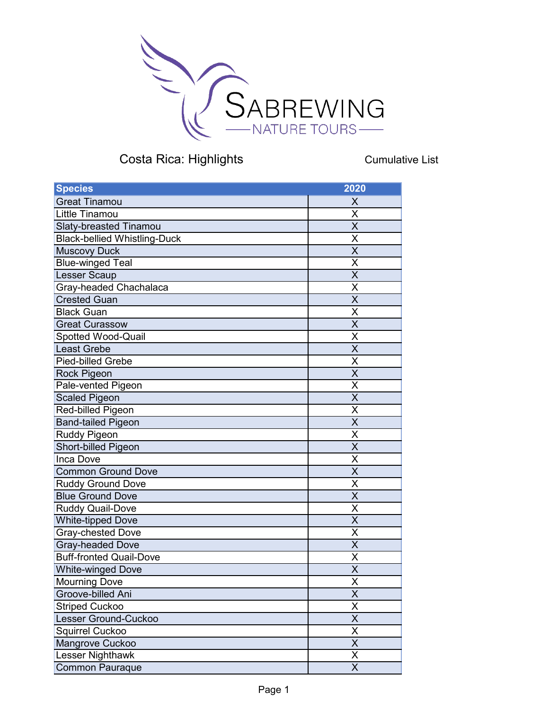

Cumulative List

| <b>Species</b>                      | 2020                    |
|-------------------------------------|-------------------------|
| <b>Great Tinamou</b>                | X                       |
| Little Tinamou                      | X                       |
| <b>Slaty-breasted Tinamou</b>       | $\overline{\sf x}$      |
| <b>Black-bellied Whistling-Duck</b> | Χ                       |
| <b>Muscovy Duck</b>                 | $\overline{\mathsf{x}}$ |
| <b>Blue-winged Teal</b>             | X                       |
| <b>Lesser Scaup</b>                 | $\overline{\mathsf{X}}$ |
| Gray-headed Chachalaca              | Χ                       |
| <b>Crested Guan</b>                 | $\overline{\mathsf{X}}$ |
| <b>Black Guan</b>                   | X                       |
| <b>Great Curassow</b>               | X                       |
| Spotted Wood-Quail                  | X                       |
| <b>Least Grebe</b>                  | $\overline{\mathsf{X}}$ |
| <b>Pied-billed Grebe</b>            | Χ                       |
| <b>Rock Pigeon</b>                  | X                       |
| Pale-vented Pigeon                  | X                       |
| <b>Scaled Pigeon</b>                | $\overline{\mathsf{X}}$ |
| Red-billed Pigeon                   | Χ                       |
| <b>Band-tailed Pigeon</b>           | $\overline{\mathsf{X}}$ |
| <b>Ruddy Pigeon</b>                 | X                       |
| Short-billed Pigeon                 | $\overline{\sf x}$      |
| Inca Dove                           | X                       |
| <b>Common Ground Dove</b>           | $\overline{\mathsf{x}}$ |
| <b>Ruddy Ground Dove</b>            | X                       |
| <b>Blue Ground Dove</b>             | X                       |
| <b>Ruddy Quail-Dove</b>             | X                       |
| <b>White-tipped Dove</b>            | X                       |
| <b>Gray-chested Dove</b>            | X                       |
| <b>Gray-headed Dove</b>             | $\overline{\mathsf{X}}$ |
| <b>Buff-fronted Quail-Dove</b>      | Χ                       |
| <b>White-winged Dove</b>            | X                       |
| Mourning Dove                       | X                       |
| Groove-billed Ani                   | X                       |
| <b>Striped Cuckoo</b>               | Χ                       |
| Lesser Ground-Cuckoo                | $\overline{\mathsf{X}}$ |
| Squirrel Cuckoo                     | Χ                       |
| Mangrove Cuckoo                     | $\overline{\mathsf{X}}$ |
| Lesser Nighthawk                    | Χ                       |
| <b>Common Pauraque</b>              | X                       |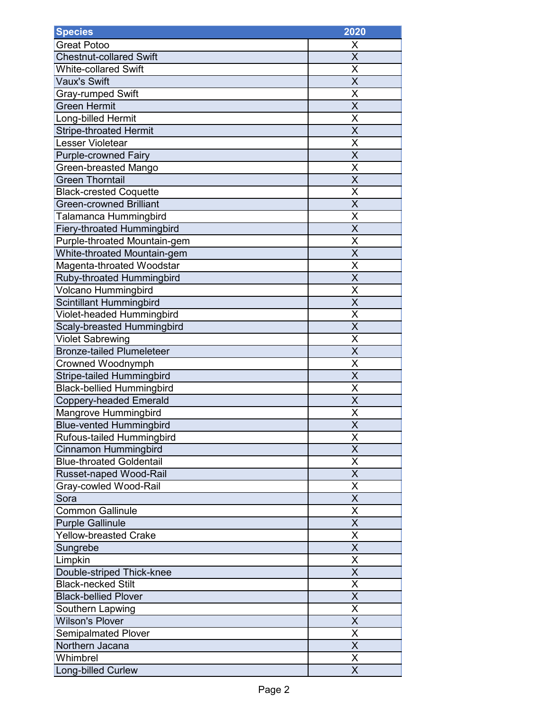| <b>Species</b>                    | 2020                    |
|-----------------------------------|-------------------------|
| <b>Great Potoo</b>                | х                       |
| <b>Chestnut-collared Swift</b>    | X                       |
| <b>White-collared Swift</b>       | X                       |
| <b>Vaux's Swift</b>               | X                       |
| <b>Gray-rumped Swift</b>          | X                       |
| <b>Green Hermit</b>               | X                       |
| Long-billed Hermit                | X                       |
| <b>Stripe-throated Hermit</b>     | $\overline{\mathsf{X}}$ |
| Lesser Violetear                  | Χ                       |
| Purple-crowned Fairy              | X                       |
| Green-breasted Mango              | Χ                       |
| <b>Green Thorntail</b>            | X                       |
| <b>Black-crested Coquette</b>     | X                       |
| <b>Green-crowned Brilliant</b>    | $\overline{\mathsf{x}}$ |
| Talamanca Hummingbird             | Χ                       |
| <b>Fiery-throated Hummingbird</b> | $\overline{\mathsf{x}}$ |
| Purple-throated Mountain-gem      | X                       |
| White-throated Mountain-gem       | X                       |
| Magenta-throated Woodstar         | Χ                       |
| Ruby-throated Hummingbird         | X                       |
| <b>Volcano Hummingbird</b>        | X                       |
| <b>Scintillant Hummingbird</b>    | X                       |
| Violet-headed Hummingbird         | Χ                       |
| Scaly-breasted Hummingbird        | $\overline{\mathsf{x}}$ |
| <b>Violet Sabrewing</b>           | Χ                       |
| <b>Bronze-tailed Plumeleteer</b>  | X                       |
| Crowned Woodnymph                 | Χ                       |
| <b>Stripe-tailed Hummingbird</b>  | $\overline{\mathsf{x}}$ |
| <b>Black-bellied Hummingbird</b>  | Χ                       |
| <b>Coppery-headed Emerald</b>     | $\overline{\mathsf{x}}$ |
| Mangrove Hummingbird              | X                       |
| <b>Blue-vented Hummingbird</b>    | $\overline{\mathsf{x}}$ |
| Rufous-tailed Hummingbird         | Χ                       |
| <b>Cinnamon Hummingbird</b>       | X                       |
| <b>Blue-throated Goldentail</b>   | X                       |
| <b>Russet-naped Wood-Rail</b>     | X                       |
| Gray-cowled Wood-Rail             | X                       |
| Sora                              | X                       |
| <b>Common Gallinule</b>           | X                       |
| <b>Purple Gallinule</b>           | X                       |
| <b>Yellow-breasted Crake</b>      | X                       |
| Sungrebe                          | X                       |
| Limpkin                           | Χ                       |
| Double-striped Thick-knee         | Χ                       |
| <b>Black-necked Stilt</b>         | $\overline{\mathsf{x}}$ |
| <b>Black-bellied Plover</b>       | X                       |
| Southern Lapwing                  | Χ                       |
| <b>Wilson's Plover</b>            | $\overline{\mathsf{x}}$ |
| <b>Semipalmated Plover</b>        | $\overline{\mathsf{X}}$ |
| Northern Jacana                   | X                       |
| Whimbrel                          | X                       |
| <b>Long-billed Curlew</b>         | X                       |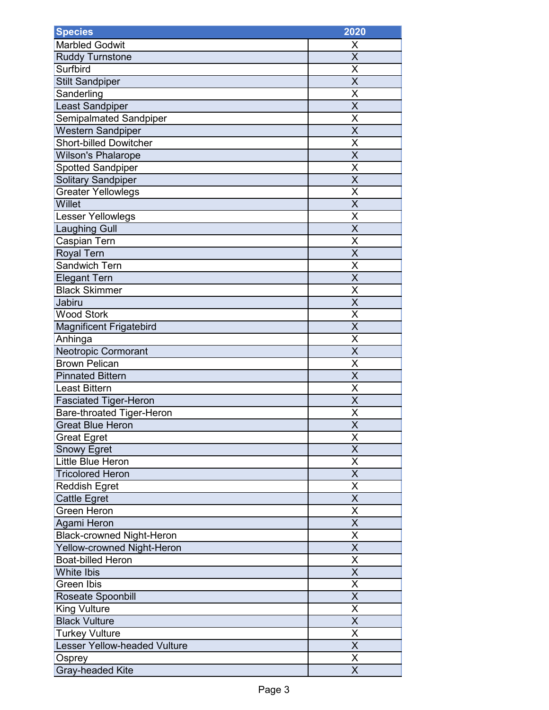| <b>Species</b>                   | 2020                    |
|----------------------------------|-------------------------|
| Marbled Godwit                   | X                       |
| <b>Ruddy Turnstone</b>           | $\overline{\mathsf{x}}$ |
| Surfbird                         | Χ                       |
| <b>Stilt Sandpiper</b>           | X                       |
| Sanderling                       | Χ                       |
| Least Sandpiper                  | X                       |
| Semipalmated Sandpiper           | X                       |
| <b>Western Sandpiper</b>         | X                       |
| <b>Short-billed Dowitcher</b>    | X                       |
| <b>Wilson's Phalarope</b>        | $\overline{\mathsf{x}}$ |
| <b>Spotted Sandpiper</b>         | Χ                       |
| <b>Solitary Sandpiper</b>        | X                       |
| <b>Greater Yellowlegs</b>        | Χ                       |
| Willet                           | $\overline{\mathsf{X}}$ |
| <b>Lesser Yellowlegs</b>         | Χ                       |
| <b>Laughing Gull</b>             | $\overline{\mathsf{x}}$ |
| Caspian Tern                     | X                       |
| Royal Tern                       | $\overline{\mathsf{x}}$ |
| Sandwich Tern                    | X                       |
| <b>Elegant Tern</b>              | $\overline{\mathsf{X}}$ |
| <b>Black Skimmer</b>             | X                       |
| Jabiru                           | $\overline{\mathsf{x}}$ |
| <b>Wood Stork</b>                | X                       |
| Magnificent Frigatebird          | X                       |
| Anhinga                          | X                       |
| Neotropic Cormorant              | $\overline{\mathsf{X}}$ |
| <b>Brown Pelican</b>             | Χ                       |
| <b>Pinnated Bittern</b>          | $\overline{\mathsf{X}}$ |
| <b>Least Bittern</b>             | Χ                       |
| <b>Fasciated Tiger-Heron</b>     | X                       |
| Bare-throated Tiger-Heron        | X                       |
| Great Blue Heron                 | $\overline{\mathsf{x}}$ |
| <b>Great Egret</b>               | Χ                       |
| <b>Snowy Egret</b>               | $\overline{\mathsf{x}}$ |
| Little Blue Heron                | X                       |
| <b>Tricolored Heron</b>          | X                       |
| <b>Reddish Egret</b>             | X                       |
| <b>Cattle Egret</b>              | X                       |
| <b>Green Heron</b>               | $\overline{\mathsf{X}}$ |
| Agami Heron                      | Χ                       |
| <b>Black-crowned Night-Heron</b> | X                       |
| Yellow-crowned Night-Heron       | X                       |
| <b>Boat-billed Heron</b>         | X                       |
| <b>White Ibis</b>                | X                       |
| Green Ibis                       | Χ                       |
| Roseate Spoonbill                | X                       |
| <b>King Vulture</b>              | $\overline{\mathsf{X}}$ |
| <b>Black Vulture</b>             | X                       |
| <b>Turkey Vulture</b>            | $\overline{\mathsf{x}}$ |
| Lesser Yellow-headed Vulture     | $\overline{\mathsf{x}}$ |
| Osprey                           | Χ                       |
| Gray-headed Kite                 | X                       |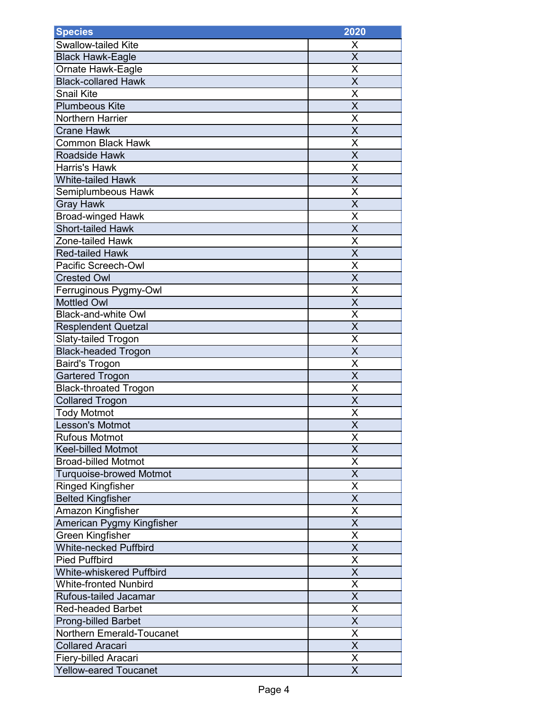| <b>Species</b>                  | 2020                    |
|---------------------------------|-------------------------|
| Swallow-tailed Kite             | X                       |
| <b>Black Hawk-Eagle</b>         | X                       |
| Ornate Hawk-Eagle               | X                       |
| <b>Black-collared Hawk</b>      | X                       |
| <b>Snail Kite</b>               | X                       |
| <b>Plumbeous Kite</b>           | X                       |
| <b>Northern Harrier</b>         | X                       |
| <b>Crane Hawk</b>               | $\overline{\mathsf{X}}$ |
| <b>Common Black Hawk</b>        | X                       |
| Roadside Hawk                   | $\overline{\mathsf{x}}$ |
| <b>Harris's Hawk</b>            | Χ                       |
| <b>White-tailed Hawk</b>        | X                       |
| Semiplumbeous Hawk              | X                       |
| <b>Gray Hawk</b>                | $\overline{\mathsf{x}}$ |
| <b>Broad-winged Hawk</b>        | Χ                       |
| <b>Short-tailed Hawk</b>        | $\overline{\mathsf{x}}$ |
| Zone-tailed Hawk                | X                       |
| <b>Red-tailed Hawk</b>          | X                       |
| Pacific Screech-Owl             | Χ                       |
| <b>Crested Owl</b>              | X                       |
| Ferruginous Pygmy-Owl           | X                       |
| <b>Mottled Owl</b>              | X                       |
| <b>Black-and-white Owl</b>      | Χ                       |
| <b>Resplendent Quetzal</b>      | $\overline{\mathsf{x}}$ |
| Slaty-tailed Trogon             | Χ                       |
| <b>Black-headed Trogon</b>      | X                       |
| <b>Baird's Trogon</b>           | Χ                       |
| <b>Gartered Trogon</b>          | $\overline{\mathsf{x}}$ |
| <b>Black-throated Trogon</b>    | Χ                       |
| <b>Collared Trogon</b>          | $\overline{\mathsf{x}}$ |
| <b>Tody Motmot</b>              | X                       |
| Lesson's Motmot                 | $\overline{\mathsf{x}}$ |
| <b>Rufous Motmot</b>            | Χ                       |
| <b>Keel-billed Motmot</b>       | X                       |
| <b>Broad-billed Motmot</b>      | X                       |
| <b>Turquoise-browed Motmot</b>  | X                       |
| <b>Ringed Kingfisher</b>        | X                       |
| <b>Belted Kingfisher</b>        | X                       |
| Amazon Kingfisher               | X                       |
| American Pygmy Kingfisher       | X                       |
| <b>Green Kingfisher</b>         | X                       |
| <b>White-necked Puffbird</b>    | X                       |
| <b>Pied Puffbird</b>            | Χ                       |
| <b>White-whiskered Puffbird</b> | X                       |
| <b>White-fronted Nunbird</b>    | $\overline{\mathsf{x}}$ |
| Rufous-tailed Jacamar           | $\overline{\mathsf{x}}$ |
| <b>Red-headed Barbet</b>        | Χ                       |
| <b>Prong-billed Barbet</b>      | $\overline{\mathsf{x}}$ |
| Northern Emerald-Toucanet       | $\overline{\mathsf{x}}$ |
| <b>Collared Aracari</b>         | X                       |
| Fiery-billed Aracari            | X                       |
| <b>Yellow-eared Toucanet</b>    | X                       |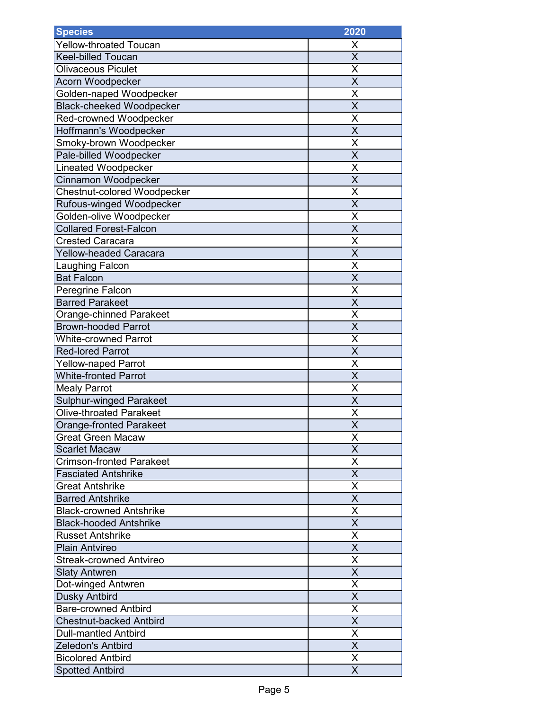| <b>Species</b>                     | 2020                    |
|------------------------------------|-------------------------|
| <b>Yellow-throated Toucan</b>      | X                       |
| <b>Keel-billed Toucan</b>          | X                       |
| <b>Olivaceous Piculet</b>          | X                       |
| Acorn Woodpecker                   | $\overline{\mathsf{x}}$ |
| Golden-naped Woodpecker            | X                       |
| <b>Black-cheeked Woodpecker</b>    | X                       |
| Red-crowned Woodpecker             | X                       |
| Hoffmann's Woodpecker              | X                       |
| Smoky-brown Woodpecker             | X                       |
| Pale-billed Woodpecker             | X                       |
| <b>Lineated Woodpecker</b>         | X                       |
| Cinnamon Woodpecker                | X                       |
| <b>Chestnut-colored Woodpecker</b> | X                       |
| Rufous-winged Woodpecker           | $\overline{\mathsf{x}}$ |
| Golden-olive Woodpecker            | Χ                       |
| <b>Collared Forest-Falcon</b>      | $\overline{\mathsf{x}}$ |
| <b>Crested Caracara</b>            | X                       |
| <b>Yellow-headed Caracara</b>      | X                       |
| Laughing Falcon                    | Χ                       |
| <b>Bat Falcon</b>                  | $\overline{\mathsf{x}}$ |
| Peregrine Falcon                   | X                       |
| <b>Barred Parakeet</b>             | X                       |
| Orange-chinned Parakeet            | X                       |
| <b>Brown-hooded Parrot</b>         | X                       |
| <b>White-crowned Parrot</b>        | X                       |
| <b>Red-lored Parrot</b>            | X                       |
| <b>Yellow-naped Parrot</b>         | X                       |
| <b>White-fronted Parrot</b>        | $\overline{\mathsf{X}}$ |
| <b>Mealy Parrot</b>                | X                       |
| <b>Sulphur-winged Parakeet</b>     | $\overline{\mathsf{x}}$ |
| <b>Olive-throated Parakeet</b>     | X                       |
| Orange-fronted Parakeet            | $\overline{\mathsf{X}}$ |
| <b>Great Green Macaw</b>           | X                       |
| <b>Scarlet Macaw</b>               | X                       |
| <b>Crimson-fronted Parakeet</b>    | X                       |
| <b>Fasciated Antshrike</b>         | X                       |
| <b>Great Antshrike</b>             | X                       |
| <b>Barred Antshrike</b>            | X                       |
| <b>Black-crowned Antshrike</b>     | X                       |
| <b>Black-hooded Antshrike</b>      | X                       |
| <b>Russet Antshrike</b>            | X                       |
| <b>Plain Antvireo</b>              | X                       |
| <b>Streak-crowned Antvireo</b>     | X                       |
| <b>Slaty Antwren</b>               | X                       |
| Dot-winged Antwren                 | X                       |
| <b>Dusky Antbird</b>               | X                       |
| <b>Bare-crowned Antbird</b>        | Χ                       |
| <b>Chestnut-backed Antbird</b>     | $\overline{\mathsf{x}}$ |
| <b>Dull-mantled Antbird</b>        | X                       |
| Zeledon's Antbird                  | X                       |
| <b>Bicolored Antbird</b>           | X                       |
| <b>Spotted Antbird</b>             | X                       |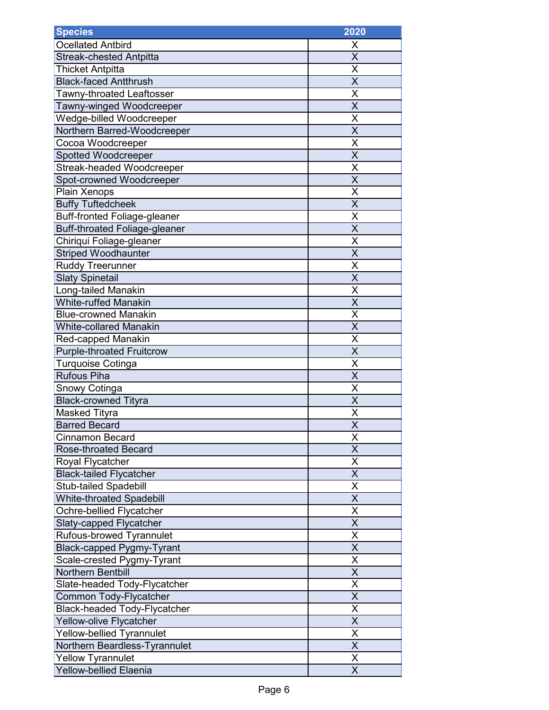| <b>Species</b>                       | 2020                    |
|--------------------------------------|-------------------------|
| <b>Ocellated Antbird</b>             | Х                       |
| <b>Streak-chested Antpitta</b>       | $\overline{\mathsf{x}}$ |
| <b>Thicket Antpitta</b>              | Χ                       |
| <b>Black-faced Antthrush</b>         | X                       |
| Tawny-throated Leaftosser            | X                       |
| Tawny-winged Woodcreeper             | $\overline{\mathsf{x}}$ |
| Wedge-billed Woodcreeper             | X                       |
| Northern Barred-Woodcreeper          | X                       |
| Cocoa Woodcreeper                    | X                       |
| Spotted Woodcreeper                  | $\overline{\mathsf{x}}$ |
| <b>Streak-headed Woodcreeper</b>     | X                       |
| Spot-crowned Woodcreeper             | X                       |
| Plain Xenops                         | X                       |
| <b>Buffy Tuftedcheek</b>             | $\overline{\mathsf{x}}$ |
| <b>Buff-fronted Foliage-gleaner</b>  | X                       |
| <b>Buff-throated Foliage-gleaner</b> | $\overline{\mathsf{x}}$ |
| Chiriqui Foliage-gleaner             | X                       |
| <b>Striped Woodhaunter</b>           | $\overline{\mathsf{x}}$ |
| <b>Ruddy Treerunner</b>              | Χ                       |
| <b>Slaty Spinetail</b>               | X                       |
| Long-tailed Manakin                  | X                       |
| <b>White-ruffed Manakin</b>          | $\overline{\mathsf{x}}$ |
| <b>Blue-crowned Manakin</b>          | X                       |
| <b>White-collared Manakin</b>        | X                       |
| <b>Red-capped Manakin</b>            | X                       |
| <b>Purple-throated Fruitcrow</b>     | X                       |
| Turquoise Cotinga                    | Χ                       |
| <b>Rufous Piha</b>                   | X                       |
| Snowy Cotinga                        | X                       |
| <b>Black-crowned Tityra</b>          | $\overline{\mathsf{X}}$ |
| <b>Masked Tityra</b>                 | X                       |
| <b>Barred Becard</b>                 | $\overline{\mathsf{x}}$ |
| Cinnamon Becard                      | X                       |
| <b>Rose-throated Becard</b>          | $\overline{\mathsf{x}}$ |
| Royal Flycatcher                     | X                       |
| <b>Black-tailed Flycatcher</b>       | X                       |
| <b>Stub-tailed Spadebill</b>         | Χ                       |
| <b>White-throated Spadebill</b>      | X                       |
| Ochre-bellied Flycatcher             | $\overline{\mathsf{x}}$ |
| Slaty-capped Flycatcher              | X                       |
| Rufous-browed Tyrannulet             | $\overline{\mathsf{x}}$ |
| <b>Black-capped Pygmy-Tyrant</b>     | X                       |
| Scale-crested Pygmy-Tyrant           | X                       |
| <b>Northern Bentbill</b>             | X                       |
| Slate-headed Tody-Flycatcher         | X                       |
| Common Tody-Flycatcher               | $\overline{\mathsf{X}}$ |
| <b>Black-headed Tody-Flycatcher</b>  | $\overline{\mathsf{x}}$ |
| Yellow-olive Flycatcher              | $\overline{\mathsf{X}}$ |
| Yellow-bellied Tyrannulet            | $\overline{\mathsf{X}}$ |
| Northern Beardless-Tyrannulet        | $\overline{\mathsf{x}}$ |
| <b>Yellow Tyrannulet</b>             | Χ                       |
| <b>Yellow-bellied Elaenia</b>        | X                       |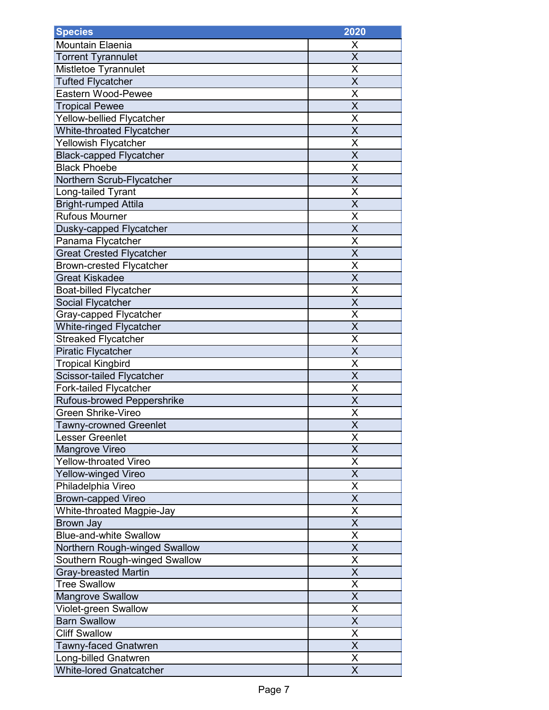| <b>Species</b>                  | 2020                    |
|---------------------------------|-------------------------|
| <b>Mountain Elaenia</b>         | Х                       |
| <b>Torrent Tyrannulet</b>       | X                       |
| Mistletoe Tyrannulet            | X                       |
| <b>Tufted Flycatcher</b>        | X                       |
| Eastern Wood-Pewee              | X                       |
| <b>Tropical Pewee</b>           | X                       |
| Yellow-bellied Flycatcher       | X                       |
| White-throated Flycatcher       | $\overline{\mathsf{X}}$ |
| <b>Yellowish Flycatcher</b>     | X                       |
| <b>Black-capped Flycatcher</b>  | $\overline{\mathsf{x}}$ |
| <b>Black Phoebe</b>             | Χ                       |
| Northern Scrub-Flycatcher       | X                       |
| Long-tailed Tyrant              | X                       |
| <b>Bright-rumped Attila</b>     | $\overline{\mathsf{x}}$ |
| <b>Rufous Mourner</b>           | Χ                       |
| Dusky-capped Flycatcher         | $\overline{\mathsf{x}}$ |
| Panama Flycatcher               | X                       |
| <b>Great Crested Flycatcher</b> | X                       |
| <b>Brown-crested Flycatcher</b> | Χ                       |
| <b>Great Kiskadee</b>           | X                       |
| <b>Boat-billed Flycatcher</b>   | X                       |
| Social Flycatcher               | X                       |
| Gray-capped Flycatcher          | X                       |
| <b>White-ringed Flycatcher</b>  | $\overline{\mathsf{x}}$ |
| <b>Streaked Flycatcher</b>      | Χ                       |
| <b>Piratic Flycatcher</b>       | X                       |
| <b>Tropical Kingbird</b>        | Χ                       |
| Scissor-tailed Flycatcher       | $\overline{\mathsf{x}}$ |
| Fork-tailed Flycatcher          | Χ                       |
| Rufous-browed Peppershrike      | $\overline{\mathsf{x}}$ |
| Green Shrike-Vireo              | X                       |
| <b>Tawny-crowned Greenlet</b>   | $\overline{\mathsf{x}}$ |
| Lesser Greenlet                 | Χ                       |
| Mangrove Vireo                  | X                       |
| <b>Yellow-throated Vireo</b>    | X                       |
| <b>Yellow-winged Vireo</b>      | X                       |
| Philadelphia Vireo              | X                       |
| <b>Brown-capped Vireo</b>       | X                       |
| White-throated Magpie-Jay       | X                       |
| <b>Brown Jay</b>                | X                       |
| <b>Blue-and-white Swallow</b>   | X                       |
| Northern Rough-winged Swallow   | X                       |
| Southern Rough-winged Swallow   | Χ                       |
| <b>Gray-breasted Martin</b>     | X                       |
| <b>Tree Swallow</b>             | $\overline{\mathsf{x}}$ |
| <b>Mangrove Swallow</b>         | X                       |
| Violet-green Swallow            | Χ                       |
| <b>Barn Swallow</b>             | $\overline{\mathsf{x}}$ |
| <b>Cliff Swallow</b>            | $\overline{\mathsf{x}}$ |
| <b>Tawny-faced Gnatwren</b>     | X                       |
| <b>Long-billed Gnatwren</b>     | Χ                       |
| <b>White-lored Gnatcatcher</b>  | X                       |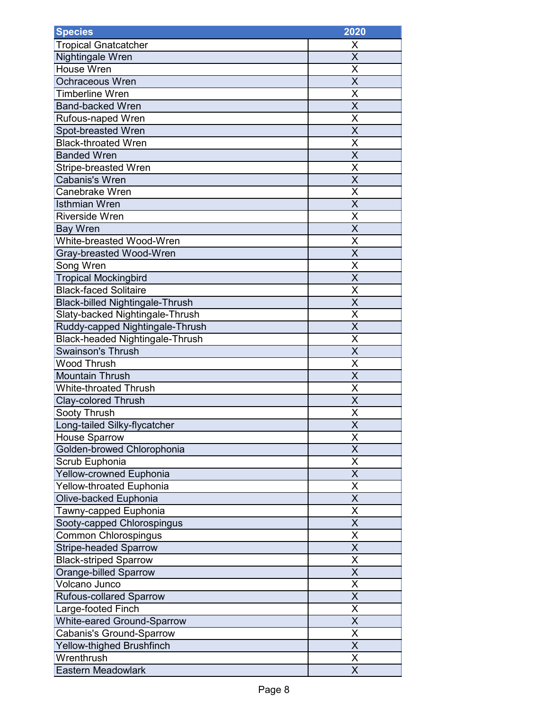| <b>Species</b>                         | 2020                    |
|----------------------------------------|-------------------------|
| <b>Tropical Gnatcatcher</b>            | X                       |
| Nightingale Wren                       | $\overline{\mathsf{x}}$ |
| House Wren                             | Χ                       |
| <b>Ochraceous Wren</b>                 | X                       |
| <b>Timberline Wren</b>                 | Χ                       |
| <b>Band-backed Wren</b>                | X                       |
| Rufous-naped Wren                      | X                       |
| Spot-breasted Wren                     | X                       |
| <b>Black-throated Wren</b>             | X                       |
| <b>Banded Wren</b>                     | X                       |
| <b>Stripe-breasted Wren</b>            | X                       |
| Cabanis's Wren                         | X                       |
| Canebrake Wren                         | X                       |
| <b>Isthmian Wren</b>                   | $\overline{\mathsf{X}}$ |
| <b>Riverside Wren</b>                  | Χ                       |
| <b>Bay Wren</b>                        | $\overline{\mathsf{x}}$ |
| White-breasted Wood-Wren               | X                       |
| Gray-breasted Wood-Wren                | $\overline{\mathsf{x}}$ |
| Song Wren                              | Χ                       |
| <b>Tropical Mockingbird</b>            | X                       |
| <b>Black-faced Solitaire</b>           | X                       |
| <b>Black-billed Nightingale-Thrush</b> | X                       |
| Slaty-backed Nightingale-Thrush        | X                       |
| Ruddy-capped Nightingale-Thrush        | X                       |
| <b>Black-headed Nightingale-Thrush</b> | X                       |
| <b>Swainson's Thrush</b>               | X                       |
| <b>Wood Thrush</b>                     | Χ                       |
| <b>Mountain Thrush</b>                 | X                       |
| <b>White-throated Thrush</b>           | Χ                       |
| <b>Clay-colored Thrush</b>             | $\overline{\mathsf{X}}$ |
| Sooty Thrush                           | X                       |
| Long-tailed Silky-flycatcher           | $\overline{\mathsf{x}}$ |
| <b>House Sparrow</b>                   | Χ                       |
| Golden-browed Chlorophonia             | $\overline{\mathsf{x}}$ |
| Scrub Euphonia                         | X                       |
| <b>Yellow-crowned Euphonia</b>         | X                       |
| <b>Yellow-throated Euphonia</b>        | Χ                       |
| Olive-backed Euphonia                  | X                       |
| Tawny-capped Euphonia                  | $\overline{\mathsf{X}}$ |
| Sooty-capped Chlorospingus             | Χ                       |
| <b>Common Chlorospingus</b>            | X                       |
| <b>Stripe-headed Sparrow</b>           | X                       |
| <b>Black-striped Sparrow</b>           | X                       |
| <b>Orange-billed Sparrow</b>           | X                       |
| Volcano Junco                          | X                       |
| <b>Rufous-collared Sparrow</b>         | X                       |
| Large-footed Finch                     | $\overline{\mathsf{X}}$ |
| <b>White-eared Ground-Sparrow</b>      | X                       |
| Cabanis's Ground-Sparrow               | $\overline{\mathsf{X}}$ |
| Yellow-thighed Brushfinch              | $\overline{\mathsf{X}}$ |
| Wrenthrush                             | X                       |
| <b>Eastern Meadowlark</b>              | X                       |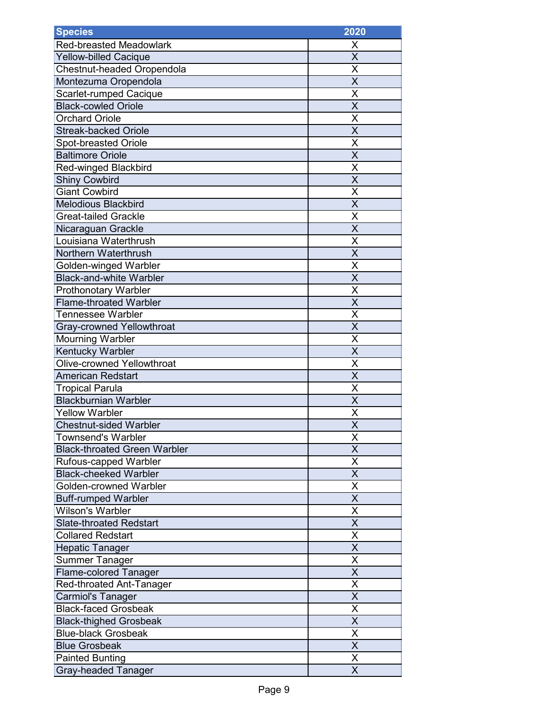| <b>Species</b>                      | 2020                    |
|-------------------------------------|-------------------------|
| <b>Red-breasted Meadowlark</b>      | X                       |
| <b>Yellow-billed Cacique</b>        | $\overline{\mathsf{x}}$ |
| Chestnut-headed Oropendola          | X                       |
| Montezuma Oropendola                | $\overline{\mathsf{x}}$ |
| Scarlet-rumped Cacique              | Χ                       |
| <b>Black-cowled Oriole</b>          | $\overline{\mathsf{x}}$ |
| <b>Orchard Oriole</b>               | X                       |
| <b>Streak-backed Oriole</b>         | X                       |
| Spot-breasted Oriole                | X                       |
| <b>Baltimore Oriole</b>             | $\overline{\mathsf{X}}$ |
| <b>Red-winged Blackbird</b>         | X                       |
| <b>Shiny Cowbird</b>                | X                       |
| <b>Giant Cowbird</b>                | X                       |
| <b>Melodious Blackbird</b>          | $\overline{\mathsf{X}}$ |
| <b>Great-tailed Grackle</b>         | X                       |
| Nicaraguan Grackle                  | $\overline{\mathsf{x}}$ |
| Louisiana Waterthrush               | X                       |
| Northern Waterthrush                | $\overline{\mathsf{x}}$ |
| Golden-winged Warbler               | Χ                       |
| <b>Black-and-white Warbler</b>      | $\overline{\mathsf{x}}$ |
| Prothonotary Warbler                | X                       |
| <b>Flame-throated Warbler</b>       | $\overline{\mathsf{x}}$ |
| Tennessee Warbler                   | X                       |
| <b>Gray-crowned Yellowthroat</b>    | X                       |
| <b>Mourning Warbler</b>             | X                       |
| Kentucky Warbler                    | X                       |
| <b>Olive-crowned Yellowthroat</b>   | Χ                       |
| <b>American Redstart</b>            | X                       |
| <b>Tropical Parula</b>              | X                       |
| <b>Blackburnian Warbler</b>         | $\overline{\mathsf{x}}$ |
| <b>Yellow Warbler</b>               | X                       |
| <b>Chestnut-sided Warbler</b>       | $\overline{\mathsf{x}}$ |
| <b>Townsend's Warbler</b>           | Χ                       |
| <b>Black-throated Green Warbler</b> | $\overline{\mathsf{x}}$ |
| Rufous-capped Warbler               | X                       |
| <b>Black-cheeked Warbler</b>        | X                       |
| Golden-crowned Warbler              | X                       |
| <b>Buff-rumped Warbler</b>          | X                       |
| <b>Wilson's Warbler</b>             | $\overline{\mathsf{X}}$ |
| <b>Slate-throated Redstart</b>      | X                       |
| <b>Collared Redstart</b>            | X                       |
| <b>Hepatic Tanager</b>              | X                       |
| <b>Summer Tanager</b>               | X                       |
| <b>Flame-colored Tanager</b>        | X                       |
| Red-throated Ant-Tanager            | X                       |
| <b>Carmiol's Tanager</b>            | X                       |
| <b>Black-faced Grosbeak</b>         | $\overline{\mathsf{X}}$ |
| <b>Black-thighed Grosbeak</b>       | X                       |
| <b>Blue-black Grosbeak</b>          | X                       |
| <b>Blue Grosbeak</b>                | $\overline{\mathsf{x}}$ |
| <b>Painted Bunting</b>              | X                       |
| <b>Gray-headed Tanager</b>          | X                       |